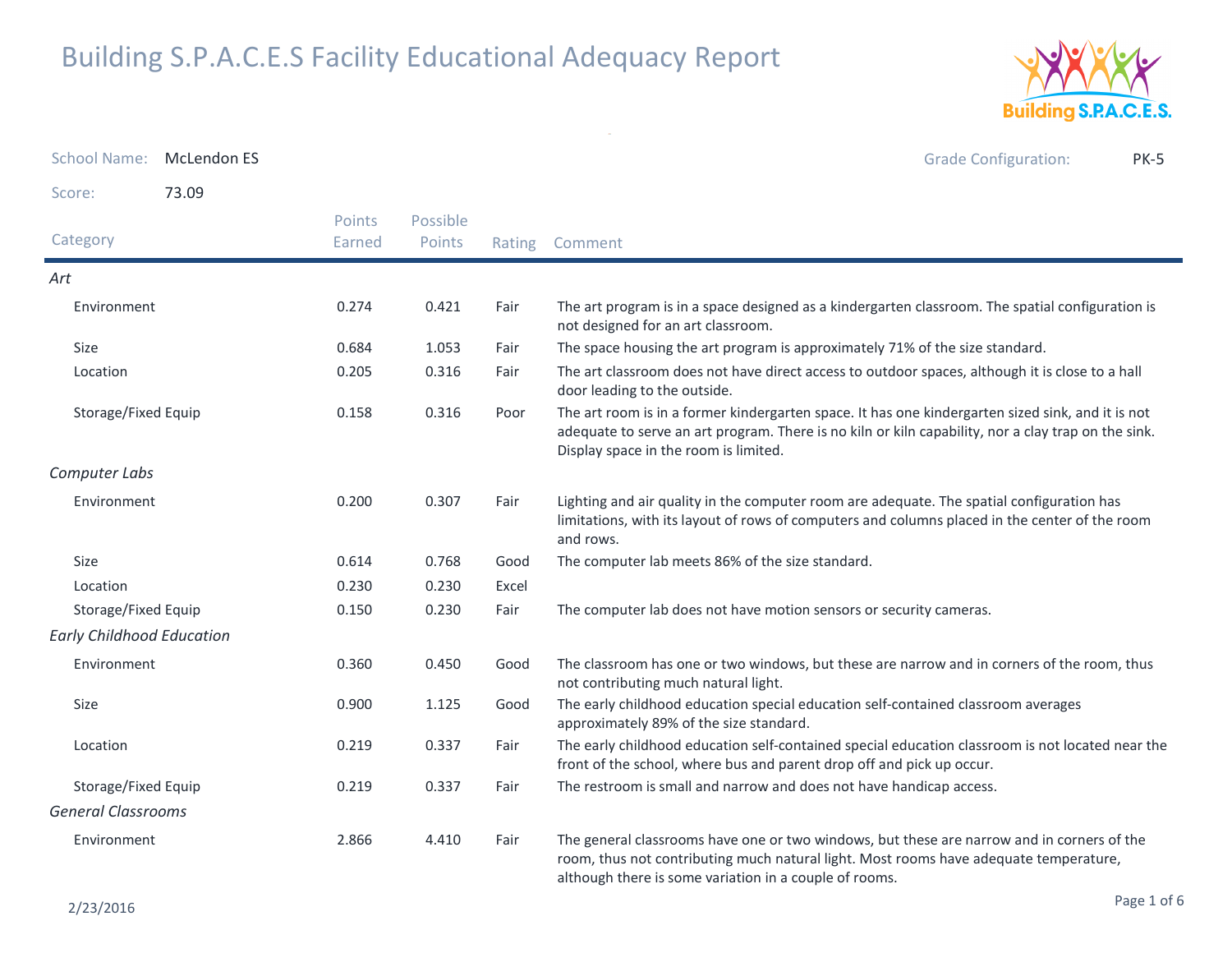

| School Name: McLendon ES         |       |                  |                    |        | <b>Grade Configuration:</b><br>PK-5                                                                                                                                                                                                               |
|----------------------------------|-------|------------------|--------------------|--------|---------------------------------------------------------------------------------------------------------------------------------------------------------------------------------------------------------------------------------------------------|
| Score:                           | 73.09 |                  |                    |        |                                                                                                                                                                                                                                                   |
| Category                         |       | Points<br>Earned | Possible<br>Points | Rating | Comment                                                                                                                                                                                                                                           |
| Art                              |       |                  |                    |        |                                                                                                                                                                                                                                                   |
| Environment                      |       | 0.274            | 0.421              | Fair   | The art program is in a space designed as a kindergarten classroom. The spatial configuration is<br>not designed for an art classroom.                                                                                                            |
| Size                             |       | 0.684            | 1.053              | Fair   | The space housing the art program is approximately 71% of the size standard.                                                                                                                                                                      |
| Location                         |       | 0.205            | 0.316              | Fair   | The art classroom does not have direct access to outdoor spaces, although it is close to a hall<br>door leading to the outside.                                                                                                                   |
| Storage/Fixed Equip              |       | 0.158            | 0.316              | Poor   | The art room is in a former kindergarten space. It has one kindergarten sized sink, and it is not<br>adequate to serve an art program. There is no kiln or kiln capability, nor a clay trap on the sink.<br>Display space in the room is limited. |
| Computer Labs                    |       |                  |                    |        |                                                                                                                                                                                                                                                   |
| Environment                      |       | 0.200            | 0.307              | Fair   | Lighting and air quality in the computer room are adequate. The spatial configuration has<br>limitations, with its layout of rows of computers and columns placed in the center of the room<br>and rows.                                          |
| Size                             |       | 0.614            | 0.768              | Good   | The computer lab meets 86% of the size standard.                                                                                                                                                                                                  |
| Location                         |       | 0.230            | 0.230              | Excel  |                                                                                                                                                                                                                                                   |
| Storage/Fixed Equip              |       | 0.150            | 0.230              | Fair   | The computer lab does not have motion sensors or security cameras.                                                                                                                                                                                |
| <b>Early Childhood Education</b> |       |                  |                    |        |                                                                                                                                                                                                                                                   |
| Environment                      |       | 0.360            | 0.450              | Good   | The classroom has one or two windows, but these are narrow and in corners of the room, thus<br>not contributing much natural light.                                                                                                               |
| Size                             |       | 0.900            | 1.125              | Good   | The early childhood education special education self-contained classroom averages<br>approximately 89% of the size standard.                                                                                                                      |
| Location                         |       | 0.219            | 0.337              | Fair   | The early childhood education self-contained special education classroom is not located near the<br>front of the school, where bus and parent drop off and pick up occur.                                                                         |
| Storage/Fixed Equip              |       | 0.219            | 0.337              | Fair   | The restroom is small and narrow and does not have handicap access.                                                                                                                                                                               |
| <b>General Classrooms</b>        |       |                  |                    |        |                                                                                                                                                                                                                                                   |
| Environment                      |       | 2.866            | 4.410              | Fair   | The general classrooms have one or two windows, but these are narrow and in corners of the<br>room, thus not contributing much natural light. Most rooms have adequate temperature,<br>although there is some variation in a couple of rooms.     |

 $\sim$   $\sigma$   $^{-1}$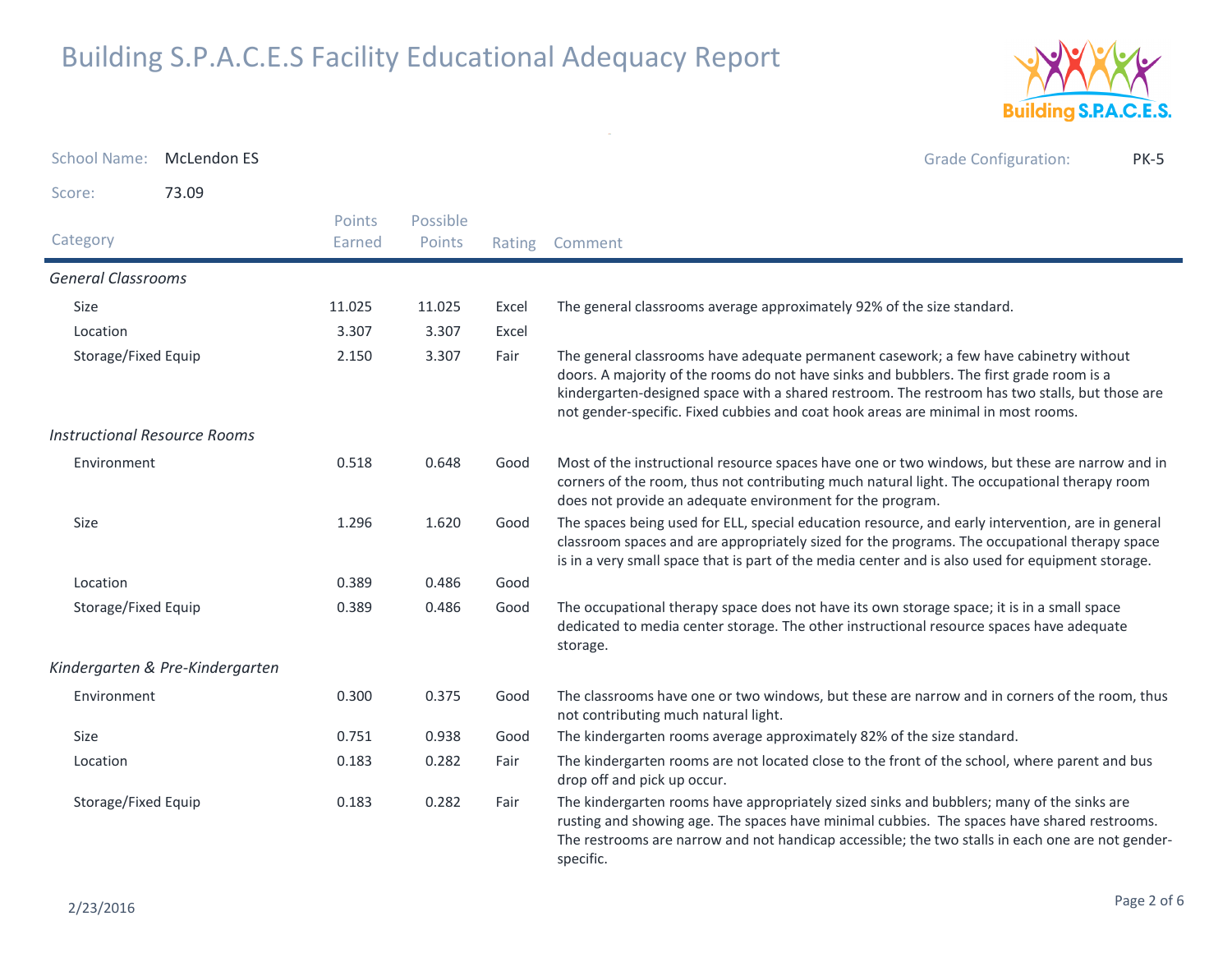

| School Name: McLendon ES            |                                 |                  |                    |        | <b>Grade Configuration:</b><br><b>PK-5</b>                                                                                                                                                                                                                                                                                                                               |
|-------------------------------------|---------------------------------|------------------|--------------------|--------|--------------------------------------------------------------------------------------------------------------------------------------------------------------------------------------------------------------------------------------------------------------------------------------------------------------------------------------------------------------------------|
| Score:                              | 73.09                           |                  |                    |        |                                                                                                                                                                                                                                                                                                                                                                          |
| Category                            |                                 | Points<br>Earned | Possible<br>Points | Rating | Comment                                                                                                                                                                                                                                                                                                                                                                  |
| <b>General Classrooms</b>           |                                 |                  |                    |        |                                                                                                                                                                                                                                                                                                                                                                          |
| Size                                |                                 | 11.025           | 11.025             | Excel  | The general classrooms average approximately 92% of the size standard.                                                                                                                                                                                                                                                                                                   |
| Location                            |                                 | 3.307            | 3.307              | Excel  |                                                                                                                                                                                                                                                                                                                                                                          |
| Storage/Fixed Equip                 |                                 | 2.150            | 3.307              | Fair   | The general classrooms have adequate permanent casework; a few have cabinetry without<br>doors. A majority of the rooms do not have sinks and bubblers. The first grade room is a<br>kindergarten-designed space with a shared restroom. The restroom has two stalls, but those are<br>not gender-specific. Fixed cubbies and coat hook areas are minimal in most rooms. |
| <b>Instructional Resource Rooms</b> |                                 |                  |                    |        |                                                                                                                                                                                                                                                                                                                                                                          |
| Environment                         |                                 | 0.518            | 0.648              | Good   | Most of the instructional resource spaces have one or two windows, but these are narrow and in<br>corners of the room, thus not contributing much natural light. The occupational therapy room<br>does not provide an adequate environment for the program.                                                                                                              |
| Size                                |                                 | 1.296            | 1.620              | Good   | The spaces being used for ELL, special education resource, and early intervention, are in general<br>classroom spaces and are appropriately sized for the programs. The occupational therapy space<br>is in a very small space that is part of the media center and is also used for equipment storage.                                                                  |
| Location                            |                                 | 0.389            | 0.486              | Good   |                                                                                                                                                                                                                                                                                                                                                                          |
| Storage/Fixed Equip                 |                                 | 0.389            | 0.486              | Good   | The occupational therapy space does not have its own storage space; it is in a small space<br>dedicated to media center storage. The other instructional resource spaces have adequate<br>storage.                                                                                                                                                                       |
|                                     | Kindergarten & Pre-Kindergarten |                  |                    |        |                                                                                                                                                                                                                                                                                                                                                                          |
| Environment                         |                                 | 0.300            | 0.375              | Good   | The classrooms have one or two windows, but these are narrow and in corners of the room, thus<br>not contributing much natural light.                                                                                                                                                                                                                                    |
| Size                                |                                 | 0.751            | 0.938              | Good   | The kindergarten rooms average approximately 82% of the size standard.                                                                                                                                                                                                                                                                                                   |
| Location                            |                                 | 0.183            | 0.282              | Fair   | The kindergarten rooms are not located close to the front of the school, where parent and bus<br>drop off and pick up occur.                                                                                                                                                                                                                                             |
| Storage/Fixed Equip                 |                                 | 0.183            | 0.282              | Fair   | The kindergarten rooms have appropriately sized sinks and bubblers; many of the sinks are<br>rusting and showing age. The spaces have minimal cubbies. The spaces have shared restrooms.<br>The restrooms are narrow and not handicap accessible; the two stalls in each one are not gender-<br>specific.                                                                |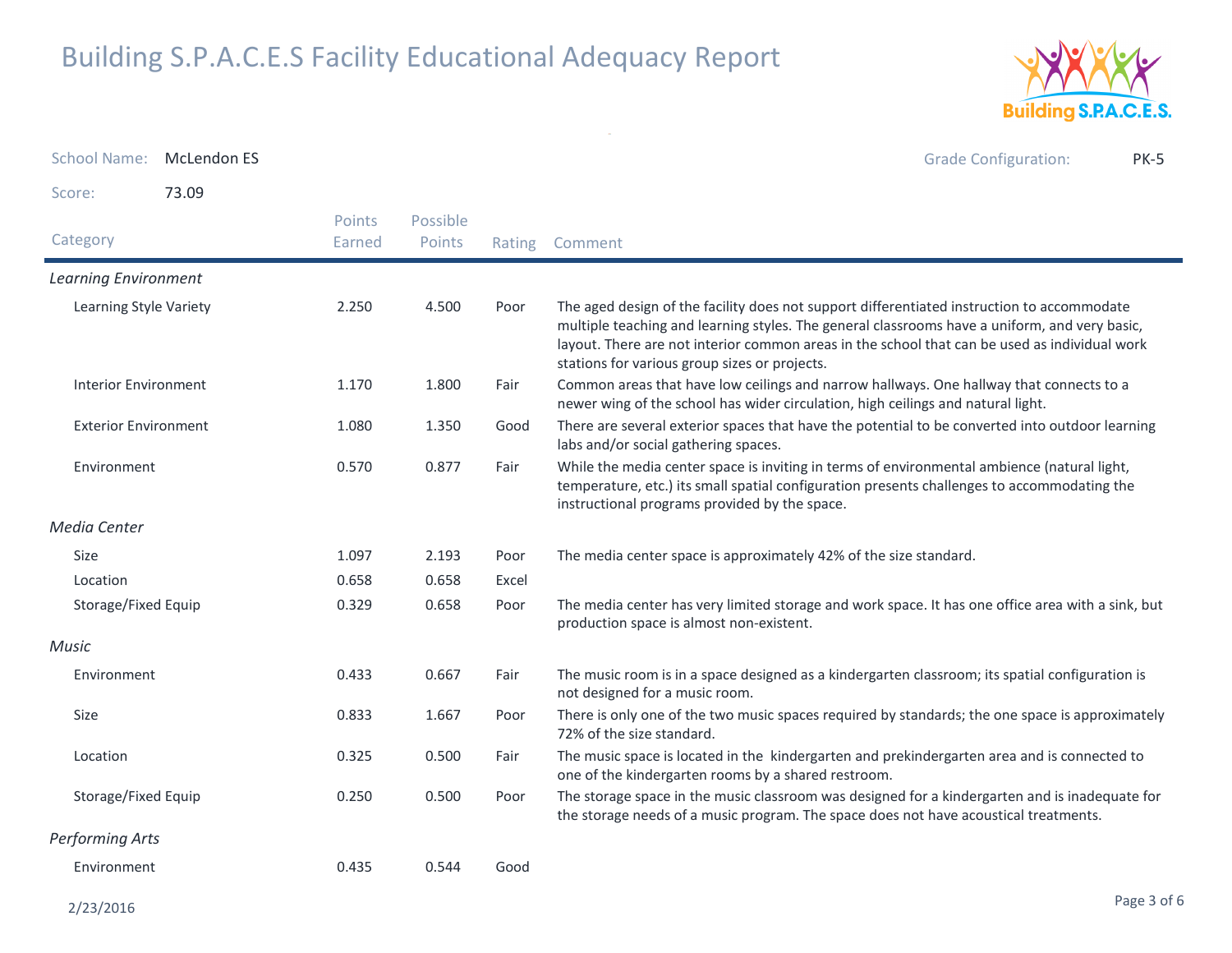

School Name: M<mark>cLendon ES</mark> Grade Configuration: PK-5Score: 73.09**Category**  Rating Comment Possible PointsPoints EarnedLearning EnvironmentLearning Style Variety The aged design of the facility does not support differentiated instruction to accommodate multiple teaching and learning styles. The general classrooms have a uniform, and very basic, layout. There are not interior common areas in the school that can be used as individual work stations for various group sizes or projects.2.2504.500 Interior EnvironmentFair Common areas that have low ceilings and narrow hallways. One hallway that connects to a newer wing of the school has wider circulation, high ceilings and natural light.1.170 $1.800$ Exterior Environment There are several exterior spaces that have the potential to be converted into outdoor learning labs and/or social gathering spaces.1.0801.350 EnvironmentFair While the media center space is inviting in terms of environmental ambience (natural light, temperature, etc.) its small spatial configuration presents challenges to accommodating the instructional programs provided by the space.0.570 $0.877$ Media CenterSizee 1.097 2.193 Poor The media center space is approximately 42% of the size standard. Locationn 1980 0.658 0.658 Excel Storage/Fixed Equip The media center has very limited storage and work space. It has one office area with a sink, but production space is almost non-existent.0.329 $0.658$ MusicEnvironment The music room is in a space designed as a kindergarten classroom; its spatial configuration is not designed for a music room.0.4330.667 Size There is only one of the two music spaces required by standards; the one space is approximately 72% of the size standard.0.8331.667 Location The music space is located in the kindergarten and prekindergarten area and is connected to one of the kindergarten rooms by a shared restroom.0.325 $0.500$ Storage/Fixed Equip The storage space in the music classroom was designed for a kindergarten and is inadequate for the storage needs of a music program. The space does not have acoustical treatments.0.250 $0.500$ Performing ArtsEnvironment 0.4350.544 Good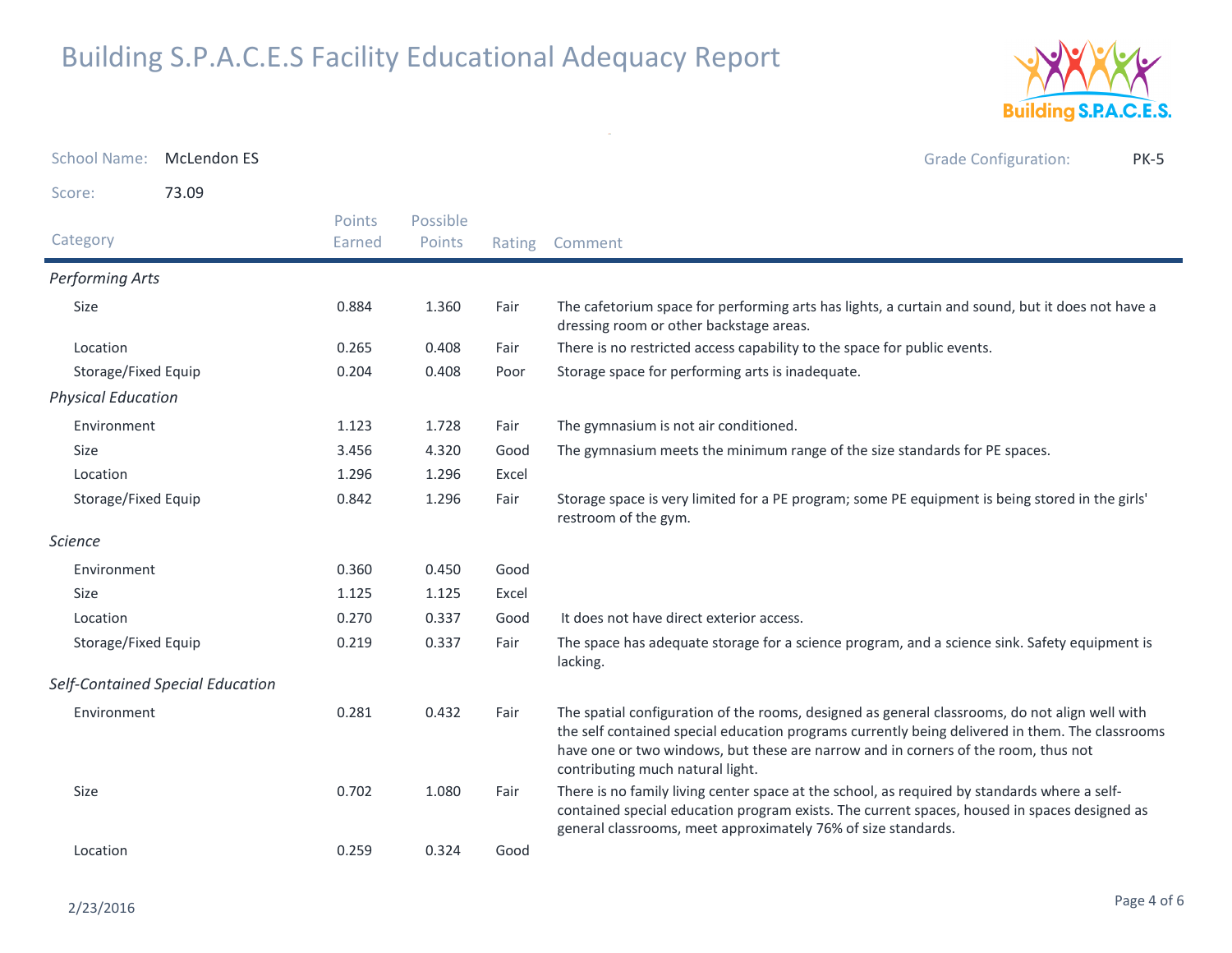2/23/2016



| <b>School Name:</b>       | <b>McLendon ES</b>               |                  |                    |        | <b>Grade Configuration:</b><br><b>PK-5</b>                                                                                                                                                                                                                                                                                  |
|---------------------------|----------------------------------|------------------|--------------------|--------|-----------------------------------------------------------------------------------------------------------------------------------------------------------------------------------------------------------------------------------------------------------------------------------------------------------------------------|
| Score:                    | 73.09                            |                  |                    |        |                                                                                                                                                                                                                                                                                                                             |
| Category                  |                                  | Points<br>Earned | Possible<br>Points | Rating | Comment                                                                                                                                                                                                                                                                                                                     |
| Performing Arts           |                                  |                  |                    |        |                                                                                                                                                                                                                                                                                                                             |
| Size                      |                                  | 0.884            | 1.360              | Fair   | The cafetorium space for performing arts has lights, a curtain and sound, but it does not have a<br>dressing room or other backstage areas.                                                                                                                                                                                 |
| Location                  |                                  | 0.265            | 0.408              | Fair   | There is no restricted access capability to the space for public events.                                                                                                                                                                                                                                                    |
| Storage/Fixed Equip       |                                  | 0.204            | 0.408              | Poor   | Storage space for performing arts is inadequate.                                                                                                                                                                                                                                                                            |
| <b>Physical Education</b> |                                  |                  |                    |        |                                                                                                                                                                                                                                                                                                                             |
| Environment               |                                  | 1.123            | 1.728              | Fair   | The gymnasium is not air conditioned.                                                                                                                                                                                                                                                                                       |
| Size                      |                                  | 3.456            | 4.320              | Good   | The gymnasium meets the minimum range of the size standards for PE spaces.                                                                                                                                                                                                                                                  |
| Location                  |                                  | 1.296            | 1.296              | Excel  |                                                                                                                                                                                                                                                                                                                             |
| Storage/Fixed Equip       |                                  | 0.842            | 1.296              | Fair   | Storage space is very limited for a PE program; some PE equipment is being stored in the girls'<br>restroom of the gym.                                                                                                                                                                                                     |
| <b>Science</b>            |                                  |                  |                    |        |                                                                                                                                                                                                                                                                                                                             |
| Environment               |                                  | 0.360            | 0.450              | Good   |                                                                                                                                                                                                                                                                                                                             |
| <b>Size</b>               |                                  | 1.125            | 1.125              | Excel  |                                                                                                                                                                                                                                                                                                                             |
| Location                  |                                  | 0.270            | 0.337              | Good   | It does not have direct exterior access.                                                                                                                                                                                                                                                                                    |
| Storage/Fixed Equip       |                                  | 0.219            | 0.337              | Fair   | The space has adequate storage for a science program, and a science sink. Safety equipment is<br>lacking.                                                                                                                                                                                                                   |
|                           | Self-Contained Special Education |                  |                    |        |                                                                                                                                                                                                                                                                                                                             |
| Environment               |                                  | 0.281            | 0.432              | Fair   | The spatial configuration of the rooms, designed as general classrooms, do not align well with<br>the self contained special education programs currently being delivered in them. The classrooms<br>have one or two windows, but these are narrow and in corners of the room, thus not<br>contributing much natural light. |
| Size                      |                                  | 0.702            | 1.080              | Fair   | There is no family living center space at the school, as required by standards where a self-<br>contained special education program exists. The current spaces, housed in spaces designed as<br>general classrooms, meet approximately 76% of size standards.                                                               |
| Location                  |                                  | 0.259            | 0.324              | Good   |                                                                                                                                                                                                                                                                                                                             |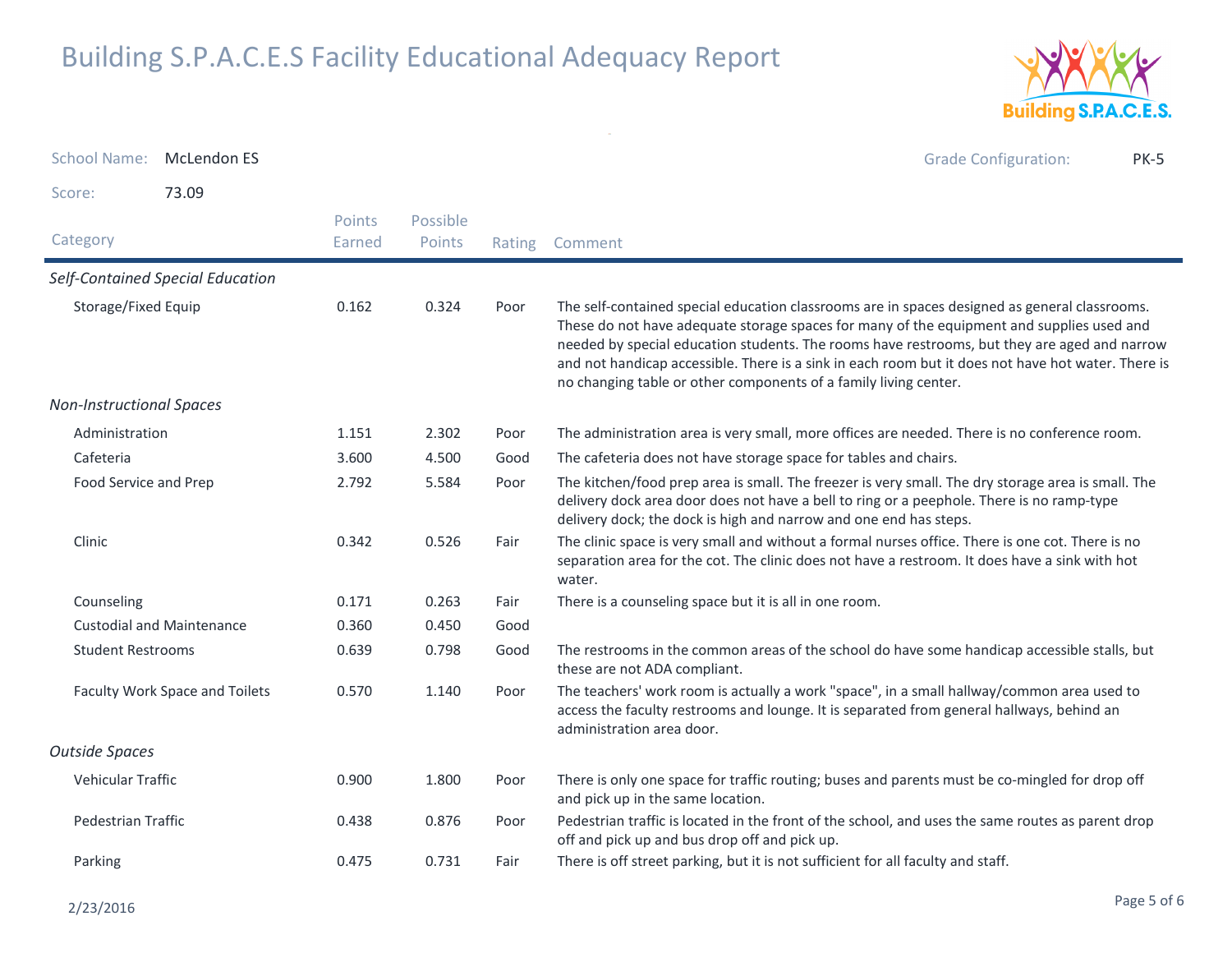

| School Name:                    | <b>McLendon ES</b>               |                         |                    |        | <b>Grade Configuration:</b><br><b>PK-5</b>                                                                                                                                                                                                                                                                                                                                                                                                                           |
|---------------------------------|----------------------------------|-------------------------|--------------------|--------|----------------------------------------------------------------------------------------------------------------------------------------------------------------------------------------------------------------------------------------------------------------------------------------------------------------------------------------------------------------------------------------------------------------------------------------------------------------------|
| Score:                          | 73.09                            |                         |                    |        |                                                                                                                                                                                                                                                                                                                                                                                                                                                                      |
| Category                        |                                  | <b>Points</b><br>Earned | Possible<br>Points | Rating | Comment                                                                                                                                                                                                                                                                                                                                                                                                                                                              |
|                                 | Self-Contained Special Education |                         |                    |        |                                                                                                                                                                                                                                                                                                                                                                                                                                                                      |
| Storage/Fixed Equip             |                                  | 0.162                   | 0.324              | Poor   | The self-contained special education classrooms are in spaces designed as general classrooms.<br>These do not have adequate storage spaces for many of the equipment and supplies used and<br>needed by special education students. The rooms have restrooms, but they are aged and narrow<br>and not handicap accessible. There is a sink in each room but it does not have hot water. There is<br>no changing table or other components of a family living center. |
| <b>Non-Instructional Spaces</b> |                                  |                         |                    |        |                                                                                                                                                                                                                                                                                                                                                                                                                                                                      |
| Administration                  |                                  | 1.151                   | 2.302              | Poor   | The administration area is very small, more offices are needed. There is no conference room.                                                                                                                                                                                                                                                                                                                                                                         |
| Cafeteria                       |                                  | 3.600                   | 4.500              | Good   | The cafeteria does not have storage space for tables and chairs.                                                                                                                                                                                                                                                                                                                                                                                                     |
| Food Service and Prep           |                                  | 2.792                   | 5.584              | Poor   | The kitchen/food prep area is small. The freezer is very small. The dry storage area is small. The<br>delivery dock area door does not have a bell to ring or a peephole. There is no ramp-type<br>delivery dock; the dock is high and narrow and one end has steps.                                                                                                                                                                                                 |
| Clinic                          |                                  | 0.342                   | 0.526              | Fair   | The clinic space is very small and without a formal nurses office. There is one cot. There is no<br>separation area for the cot. The clinic does not have a restroom. It does have a sink with hot<br>water.                                                                                                                                                                                                                                                         |
| Counseling                      |                                  | 0.171                   | 0.263              | Fair   | There is a counseling space but it is all in one room.                                                                                                                                                                                                                                                                                                                                                                                                               |
|                                 | <b>Custodial and Maintenance</b> | 0.360                   | 0.450              | Good   |                                                                                                                                                                                                                                                                                                                                                                                                                                                                      |
| <b>Student Restrooms</b>        |                                  | 0.639                   | 0.798              | Good   | The restrooms in the common areas of the school do have some handicap accessible stalls, but<br>these are not ADA compliant.                                                                                                                                                                                                                                                                                                                                         |
|                                 | Faculty Work Space and Toilets   | 0.570                   | 1.140              | Poor   | The teachers' work room is actually a work "space", in a small hallway/common area used to<br>access the faculty restrooms and lounge. It is separated from general hallways, behind an<br>administration area door.                                                                                                                                                                                                                                                 |
| <b>Outside Spaces</b>           |                                  |                         |                    |        |                                                                                                                                                                                                                                                                                                                                                                                                                                                                      |
| Vehicular Traffic               |                                  | 0.900                   | 1.800              | Poor   | There is only one space for traffic routing; buses and parents must be co-mingled for drop off<br>and pick up in the same location.                                                                                                                                                                                                                                                                                                                                  |
| Pedestrian Traffic              |                                  | 0.438                   | 0.876              | Poor   | Pedestrian traffic is located in the front of the school, and uses the same routes as parent drop<br>off and pick up and bus drop off and pick up.                                                                                                                                                                                                                                                                                                                   |
| Parking                         |                                  | 0.475                   | 0.731              | Fair   | There is off street parking, but it is not sufficient for all faculty and staff.                                                                                                                                                                                                                                                                                                                                                                                     |